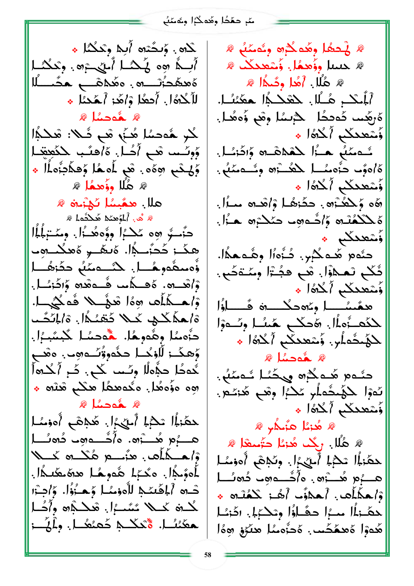لكه. وٌ*ن*حُثه أبد وتَكْتُلُ \* أبِدْ وه مُكْسًا أَسْرَبِينَ وَحَكْسًا ەَھھَدُرْتــــە . ەھَكەتىب ھكَمــــلَّا لِٱكْلَّٰهَا. أُحِعُلُ وْاهُدْ أَهْجِئًا \* 2 Lisan 2 كُبْرِ هُءَهِمًا هُنَّى هُمْ شُكًّا: هَكَجًا! وَوِئَـٰٮ هَـٰمِ أَكْـاً. هَٰافِئَـٰبِ لِكَمِيقِـا وَٰٓلِحۡمٖ وَوَٰٓہٖ ۚ ثَمۡم ۖ أَهمُا وَٰۡعَلَٰٓضُوۡنَا ﴾ ® هُلُّا وَدَّههُا ® هلل معمَّسُل تَهْتَمَة \* **& مُّى. أَلْمُوهَكُمْ هُكْتُمْ &** ِ حَنْسَوٌ وَهِ مَكْبُراً وِوُّهِ هُــُرَا. وِمَتْ بَالْجَا ھڭىز كَحَزْسِجًا. ەْبْھَىپ ەْھڭسوپ وْهِمْدْهُوهُــا بِ كَيْــوْمَبُ حَدَّرْهُـــا وْاْݣْدِهِ. ەْھْسْكَامْتْ قْسْمْعْدْدْ وْاتّْوْشْلْ. وْاهِكْلُم هِهُمْ هُوْكُمْ وَهُكُمْ الْمَسْلَمْ ة/هكَلْكُنْ كُلْلًا كَعْنُكُلْ. ةُ/إِنَّكُت دَّوْمُا وِهُومِهَا. هُوصُل كَبْسُبُرٍا. وَهكَــٰ; لّافكــا حثَّەوِقُـُــەھِــٰ. ەھَــٰم خُددًا حَذَّهأَا وِنَّـــ كُلِّ. ثَــ أَكْــ 10 وه ووُوهُا. ومُدهدهُا هكم هَنْهِ ﴾ 2 Lisan 2 حكَنطُ تكبُرُ أَسْرَيْراً. هُجْمْع أُوضُا هسبُم هُستُن، ه/ُهُسمڥ دُهسُل وْاحْسَكْلُف. هنّْسَــع هُكْـــرَّه كْـــلا لِمُوَْجُلٍ. وَكَبَرُ هُومِهُا هِوَمُعَلَّمَا. حْــرِه ٱلْمَصْـٰـرِم الْأَوْسُـٰلِ وَحِــزُوْلِ. وَٱحِــْرَا كْتُ كَتْݣَا تْتّْسَبّْلْ. قْعَلْـْبُرْهِ وأُصّْلَ هعَنْنُــا. ۞ْتَكْــهِ حُمْعُمْــا. وِلْمُـــز

® لْمَعْظَا وِهُدِيْكُرُ» وِشْمَنْكُمْ ﴿ ه حسا ووُههُا. وُسْعدكُ ه **& هُلَا. أَهُا وِضَهُا &** أَبِئَكَ هُـلًا. حَقَدَجُا حَعَّنُـلَ. ەُرەَبىي كەدخا لەيسا وقىي ۋەھل. ؤشعنكم أكثواء شَمِيعُهُمْ حَيْرًا كَمْحَاهْدِهِ وَادَّنْسَا. ةُ/ەوٖٞڡ د;ُّەممُـــا ۞هُـــَ;و وشَـــەممُهُ. وُسْعِدِكُمْ أَكْمُوا \* هُه وَ لِهُنْوَهِ . حَدَّوَهُ لَمْ وَأَهْدِهِ مِعْدًا . هَ لِلْكُفْلَةِ وَٱخْدَهِ مَكْلَّةٍ هُ عَزَّاً. ۇشعىكى ھ حَدُهِ هَـٰهِ كُبُو. كُنُّهاا وِهُـهِـهاا. ثَكُمْ تَعَكّْوْلُ. شَمّْ قَجّْةْلُ وِمُتَّقَضُّمْ. وَسْعَدِكُم أَكْمُ أَنْ همُسُـــا وءُهڪـــة ڤــــاؤُا لْمَكْعَـزُهِ]. وَحَكَــح هُنْــا وِنَــووْا لْكُهُنفُماُسٍ. وُسْعِدْكُم أَكْدُهُ! \* A Lisan A حنْمه هُـمكُره وبكُمكُ نُـمسُهُ. تَوْا كَيْحُمْلُو تَكْرًا وَهْمٍ هَٰٓتَكُمْ. ؤَسْعَدِكُمْ أَكْلَاهُ أَ \* ه هُزئا هُنگُم ه ® هُلُّا. رِجِّد هُزِ*نَا حَ*تُوْهُ ® حكَّنقُلْ سَكَبْطٍ أُسْرِيمُ!. وِنَجْعَمٍ أُوضِيًا وْاهِكْلُف. أَهْلُوْبَ أَهُـ: كَهُنْـْ هِ ، حصَّنِكُلَّا مِسْرًا حَقَّىلُوًّا وَتَكْرَبُكُ. اكْبُسًا هُدوْا ەُھمُكُس. ەُدْومْدا ھىگۈ ھەا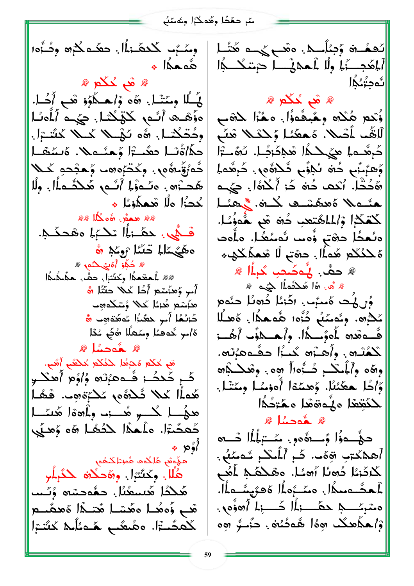وِمَّبُ لَكِدَّ زَلَمًا. حَيْدَكُرُه وِدُّوَا a Araô & مَع مُكَم & يُ لَمَّا وِمَثْلُهِ. 50 وْ/هِ كُوِّوْ قُبِي أَحْلَلُ ەؤْھَــدە آئـُـم كَـدِّكْتَــا. حَيْــد ٱلْمَائـا وحُدّكْتا. ۞ه نَهْلا حُلّلا حُتْـثِرا. حكَّاةُتْ حَعَّتْ أَوْ هِنَدْ اللَّهُ عَلَيْهِ الْمُتَعَمَّل كُهرُوَّمِيهُمْ . وِكَذَرُه هِ وَحَدَّدِهِ كَمَلًا هُدءٌه . ٥نُـ٥وْلِمْ أَنُـ٥ هَٰـدْتُـ٥أَلْ. وِلَٰا مُحِزًا ولًا مُعِجَّفِهُ \* 22 Lion. in 22 قَـمِّي . حصَّـ; أِلا تكبِّهِ معْحكَــهِ. هُمْ مِنْهَا فَسَمَّا رُوسُهِ هُ ه مِنْكُمُوْ أَهْتِي هُمْ هُ 80 أحقههُ اركِتُتا. حفَّ. حدَّثهُ أُسٍ وَهٰذَهُمْ أَحُلٌ كَمِلاً حَتَّنًا وَّ هَنْمْمِ هُٰزِئا كَمِلاً وُسْكُوهِب دَّائُمُّا أُسِ حَعَّدًا عَاهَٰدَوِ ﴾ ەُ/ىر ئەھدُا ومەھلا ھُکَ مُدْا A Lisca & قَعِ يُكُمْ مُدَمُّلًا لِكُكُمْ يُحْقِّعِ أَهُمِ. كَــرٍ كَـدكُــز ڤــه6رُنَـْتُه وُۢ/وُم أُهـْكــوِ هُداً كَلا ثَلاْهُم كُلَّةِوب. فَعُا هدُ الحُسو هُسنو وأَهوْا هُنسًا كُعِثَةًا. وَلَمِمْٓا لِكَٰفًا ۞ه وُهِيَى ် စန်ု هَهُوهُم هَٰالِكُوهِ هُوزالِكَنفُومِ هُلًا. وكَنُترًا. وهُحكُنْه كَخَبِكُر هُكِدًا هُنسعُنًا. حَقَّوْدَهُ وُنَّب هَــم وَّەھُــا ەھَـْسَــا هُتــدَّا ەَمھَـــم لْحَمَّــٰۃًا. ەھُىغَىم مَّــەئلُـم كَتُنْــْمَ!

أَعْصَـٰهَ وَجِئلَــد وهَـــح كِـــه هَتُــل أَلْمَكْجَـــزَٰءًا وَلَا غُلْعَكُمْ لَـــــا حَبْتَىكُـــكِلَا ئەدېُنگا **ه شم مُكَم** ه ؤْكِم هُكُلُه وِهُبِفُووُا. مِمْزَا لِحَدْمَى لْلْثُمِب لْمُسْلا. هُ هِكْسًا وَ لِلْمُلا شَبِّ كْرِهْــه لِمَحْـــكُمُ هُجْكُرْكُـا. تَـهُــــْٓزَا وَْهِبُنُو حُثْ نُجْفُو شُلْأُمُو. خُرِهُها هَجُخْلُ ٱبْدِعِ جُنْ جَزِ ٱ لْكُنْهَا . حَيْء مئملا ةمعقشك لمدة. \* هنا كْقْݣَا وْالْمْلْعُتْعْبِ دُهْ هْمِ هُْوَفْـا. ەئمكا دەتى ۋەسە ئەمئىگا. ماھ هَ حَكَكُم هُماً. حَوْتِي لَا هُمَمَّكُنِي \* *®* حقّ فُوصَّت كَراًا @ *ه* مُی. 16 هَٰکثُما اللّٰہ هُ م . وُرِ لَمْتَ هُمْ وَمِنْ الْأَمْثَلُ دُومُلُ حَثُّوهِ كَلّْإِنْ، وِثَمِنْكُمْ ذُرُّهِ! هُمَعْكُلْ. هُلْكُمْ فُــوهُده لِمُوَـــدُا. وأحـــدؤَب أَهُـــز لْكَمُنْـْرَى وأَهِـزْرَه لَكَــزُا حَقَّـهِ عَزْنَرَه. وقهو وألمك كُرُّوا وهو. وقعكِ بِهو وَّاحًا حِعَيْنًا. وَهِيَّةًا أُوفِيًا وِيَتْنَا. للْكَقِيْعْدَا مِهْوَمْدَا مَعْتِجُدًا 2 Lisaa 2 ِ حَيْنَ وَوَٰلَ وَ ـَـــَةَ دَوِي مَنْــَـٰٓئِكِلَّالَ شَـــَةِدَ أَهْلَكْتُمْ وَالْمَاءُ أَشَلَّكُمْ شُمْعَةً }. ݣَاكْبْنَا دُەنْا أەمْلا. ەھْكْھَى لَمْع لْمَشَــْمِيمًا. مِمْــرُّمَاًا هُڪرُپِشَــهِـاًا. مشبِّبِ حفَّامًا حَــزاً أهوُّهن وْاهْكُمْلَا مِوْا هُوْدُوْ. دَنْتُ وە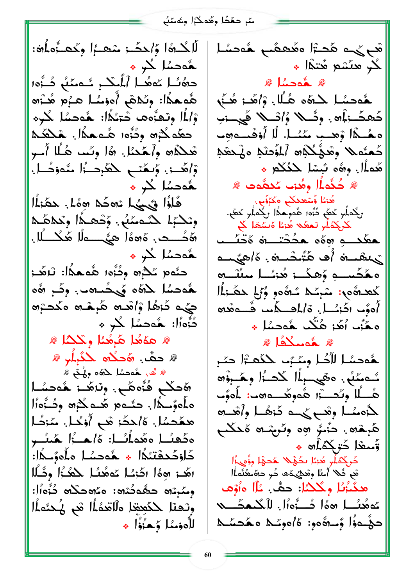مّم حفَحًا وهُدكُمْ! وهُمَمُهُ

لَّاكُدهُ! وُ/حجَّة مْعَكُمْ! وكُعِدَّهْ الْمَهْ: هُەدىمًا خُر ھ حەُنُـا مُـهُـا ٱلْمُـْكـِ شـْممْنُ ضُـُوا هُمهدًا: وِنَكلهُمْ أُهوْمُمَا هـرُمْ هُـرْوه وْ} مَا وِتْعَزُّەم خْتِنْدًا: خُەجسًا خُرْ\* حقّدكُرْه وِدُّرْه! هُـدههُ!. هَـٰذَهَٰذ تَعَلَّكُمُهُ وَٱحْمَدُا. هَٰا وِنَـٰمَا هَٰـُلَا ٱمـٰمِ وْاهُد: وُبِعَيْبِ كَعَرِدْ أَمْدَوْدًا. هُەھسُل كُمْ \* قَاؤُا فَيُحِيَّا مْحَمَّ هِءًا. حَقَّدْ وتكبُل كَتَـٰمِنَّتْسُ. وُتَـْهَـٰهُا وِتَـٰهَكُمْ هَدُـــد. هَههُ اههٌـــهِ الْمَكْـــُلا. ـ هُـُمحـمُـل ـ كُــل \* حثَّ من حَكْبَر وحُنُّوا هُو هَا: لْاهُد هُ مِصْدِ الْمَدَىٰ الْمَدَىٰ وَلَا مِنْ مِنْ مِنْ كَهُمْ كَرْهُا وْاهْدُهْ كَرِهْدُهْ مَكْحَرْه دُّوْهُ!: هُـُوصُلْ كُلِّ \* ه هوّهُا هُرهُمُا وتَكَلُّكُمْ هَ ® حقٌّ. 20كلم كَكَبِلُو ® ® ڤي. هُودسُل لهُهُه وِلُيُّ ® رَهُحكُم قُنُوهُم . وِلْلِهُ: هُوحِسُـل مأەؤكل دئىمى ھُدىگرە وئىزەال همُحسًا. هُ/حجَّ: هَم أَوْحُل. مَنْحُلًّا ەڭھئىل ەھّەلمُئىل: كالمسَزَّا لَھَىئَــو حُلْوْكُحِفْتَىٰدًا ۞ هُوصِمُـل ولَمُورَحُمَّا: اهَٰذِ وَهُا ادَّنْـٰلَ عَاهُدُلْ لِكَفُّـٰٓا وَشُلُّلُ ومَكْرِثَة حَتَّقُوجُتَة: وَكَّةَ حَكْلَة خُزُّواً!: وتعثا حكَّحِفا ولَاتَّدَمُاْ مْعِ لِحُدَّدَاْ ا لِلْأَوْمِمُلُّ وَجِعَزُوْلَ ﴾

شمش بمُفقة ومُشابَّدة مرح ب كُم هنَّشع هُتِمًا ﴾ A Lisai A هُوصُا لِحَدَّه هُـُلَا. وْٱهَٰذ هُـنَى كُهكُــزْبْرُهِ . وِثْـــلا وُ/ثَـــلا فَيْجِــزبِ ەھْــدَّا ۋەنــب مَنْــا. لَا أُوْقْـــەھِــ كَعِنُه لا وتَعِيمُكُمُ هُ ٱلمُؤْمِنُهِ وَيُعِفَظِ هُدماًا. وهُو بُسْلِ لِكُكُم \* & حُذُّه لُم اللهُ وهُذا مُحَدَّدُه هُ هُزئا زُسْعَدَكُم مَكَرِّفُو. رِكْدِيْمِرِ كَعَبِي دُّوْهِ! هُدْوِهْدًا رِكْدِيْمِ كَعَبِ. كَرِيْكَمْلُو تَعْقَدْ هُوْءُ وَسَيْعًا كَلّ معكدے وة محكَّتـــة ةَحَسَّــ مىرزە\ة . خىستىتق ھ\ خىستىر ەھكىسە ۆھك خۇشلا مىلگە كَعْدِقُومٍ: سْبِئْكُمْ سُؤُوو وُزْلِجْ حَضَّۃِلُمْ! أُهوًى ادَّنْسَا. وْالْمُصِلَّمِي فُسوڤدە ممَّنُ أهُز هُنَّك هُءَهمًا ﴾ R L'Amai R هُوحسُا للَّاحُا وِمُبُو كَكُعِبْٓا حَبْ مُهمَّلُو. وهي بِما كُلْدُرُ وِهُ بِوْرَهِ هُـــُلا وِنُصـــَۃِ1 هُووِهُــــوهـہ: لِمُووُٓــ لأدمار وثب يء دُنفا وأشبه هُبِهُهِ. حَنُبٌ وهِ وِنُهِيْسِهِ هَدَكْب وَّسْعَدْ خَتِّكُهُ أَنْ \* دُرِجُدُلُرِ هُـٰٓئِلا نَدَهْكُ حَدَمْا وَوُّوِجُلاً هُمْ فَلا أَسْلَا وِهْلِيٌّهُ هَ دُو دَهَٰمَعُنَّهُ ا هدَّىُرُىٰل وِ كَلِّكْلُ: حَتَّى. عُلَّا هَاوْهَ كَوْهُـُــا هِوْا دُــزُورُا. لِأَكْتُمْهَـَـــلا حوُّےوَٰا وُ؎ەُدو: كَادوسُك مكحسُّـك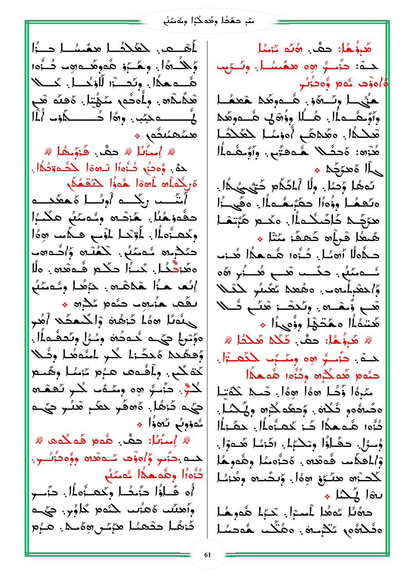ـأَهْـــم. للظّلافُـــا معمَّسُـــا حـــزُا وَ لِلْكُواْ. وِهْكُوْ هُووفُكُوهِكَ دُوَّةَ وَ هُـــوههُا. وِيُصِـــْ; لِّأَوْجُـــا. جَــــلا هَدَّىكُمْهِ . وِلْمَحْمِ مَكْيَنَا . هَعنَه هَي مشعشف و & إميَّتُل & حقٍّ. فَرَوَّمِعُل & َ هَٰهُ. وُهِجُلُ جُـزُّهُ/ نَـهِهَ/ لَكُـُـمُوَجُلًا. كَارِكْتُهُا الْعَامَلُ الْمُؤْلَّكَ الْمُتَعَلَّى أَنتُسب ربِّست أونُسل هُ هَعَدَستَ حفَّوهُمُلُا. هُرْشُدُ وِشُومُمُهُ عَكْسُرًا وكعنُّومًا. لَمُقط لغْب كلُّف هِوَا حَكْثَرِ مَهْ شَمْلُو بِهُ مَنْ الْأَهْلَامِ وَأَشْمَاهُ مِنْ ەھَزَدُّكْماً. كَسُرَّا حَكْمِ ڤُءِمْدِهِ . وَلَا إِلَٰهَا هَذَا هَلاَهَاهَ. لِإِهْلِ وِشَامَعُهُ بَقْفِ هُزُمِهِمَا حَقَّةِ كَلْمِ \*\*\* حِمَّةُ الْمَصْحَمَّةُ وَالْمُعَضَّلَا أَهْمِ دَوْتَهِمْ حَيْ؎ كَـٰدَدُهُ ۖ وَخُـرَٰلٌ وِنَحفُـدَلَمْلَ. وٌفَقَعَدُ هَٰذَٰٓ ذَٰٓ ذَٰٓ لَٰٓ لَٰٓ لَٰٓ عَٰٓ وَشَا وَشَـٰلاَ كَةَكُمْ. وِلْمُدْهَدِ هَزُمْ مُنْسُلُ وِهُتُمْ كُمْ. دَّنْبُرْ وَهِ وَمَّدَّبٍ كُلْمٍ نَفْقُدُهِ ئے کُنھُا. ہُھوَّرِ مِعَّہِ شَنُّرِ کَہْے - شَەۆوبُ - ئەەۋُلىم ه إمنُّنُا: حقٌّ. هُوم فَوكُوه *ه* جب عن الله على الله على الله على الله عنه على الله على الله على الله على الله على الله على الله على دُّوْهُ الْمُعَاهَدُ السَّمَّةُ الْمَسَّلَ أَه قَـاؤُا حَنُحُـا وِكَعـنُومُاْ. حَنَـــو وأهلَّف هُجَّاب حَيْمَة كَاوُنٍ. حَيْ دُوهُا حدْهِمُا مِرْمُرِ وَوَمَلِهِ. هـرُم

| هُدِوَٰهُا: حَتَّى. هُ َهُ مُّرْسُل لجنة: جَنْبُ 60 هِمُسُلٍّ. وَتَنْوَيْت ة/ەۋف شەھ ۋەقتُلُو<br>|| ھَتُیْنَنَا وِنَنْتَهُوْ. ھُنْنَدُوھُک هُعْشَنَا وَأَوْحَفْــه أَا. هُــأَا وِؤُرْثَهِ لَهُــهوهَٰ\$ هْكُمَّا. مَعْدَهُم أُمْنِسًا كَعَكْشًا هُنْزَهِ: هُدِشُمْ هُـُدْهُمْ. وِأَوْسِفُـدِهُمْ ا \* Agros ll ِ نَهِ هُمْ وَحِمْلٍ. وِلَا أَلْمَكُمْ حَتَّى الْمَكْمَلِ. وَتَعْمَلَ وَوَٰوَاْ حَجَّبُهُـٰمَلَٰلَ. وَفَيْ أَل هوَجَــم حَاحَـكُــماًا. مكــع هَزَتمْـا هُعْمُا فَجِأَرُه خُهِفَ مَنْتًا ﴾ حَدُّولًا أَهْلَا. حُـزُّوا هُـوَهِدًا هُـزَب ئَـــومَّـٰئُع. حَـنَّــَــَ مَّـــــع هُــــــزُمِ هَ ه وَٱلشَّرْالُمِينَ. وهُعَلَمَ يَعْتَبُو لِلْقَلَمَا تَعَــم وَّمْـــــه و وَنَحْشَـــز تَعنَــم شَـــلا هَتَمَالُ مَعْدَهَا وَوْيَ أَلْمَدَهُ @ هُرِوُهُا: حقَّ. كَكُمْ هَكْدًا @ حتة. دَّنْبُرْ وه وَسَّبُ كَتُعَبَّلَ. حنُوم هُوكُرُه وكُنُوا هُوهُمُ مَعْبِدًا وَّحُـا هِدًا هِدًا. شَـــهِ كَدَّتِـا ەخْبەۋەو ئىكەن . ۆخكەڭلە وڭىشا . دُّوْر هُـمهُا جُـز كَعِـزُولُمْ فِي مَعْـزِلُمْ وُسِوٗل. حقَّاؤُا وِسْكَيْل. اكْنِسًا هُـوَوْل. وْالْمَكْتِ فُوهُدِهِ . هُجْوَمِنْا وِهُومِعْا ݣَدْرُه هنَّرُو هِهْلْ. وُبْعُدِه وهُزْيُلْ ىۋا ئىگا ، حدُمُلُ حَمْعًا لِمُسْرَا. حْجَا هُمُوهُا ەئْكەُە ، ئەب ەە ئەنگ ھەدسا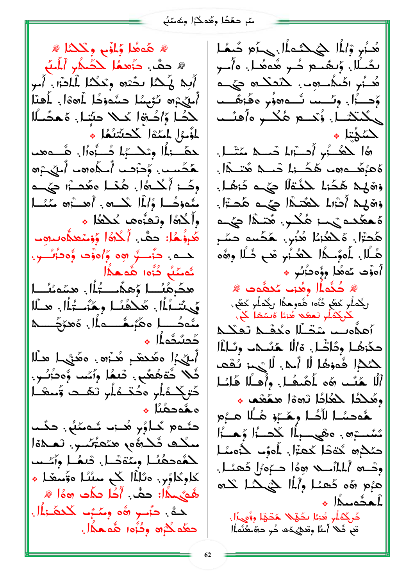مّم حفَحًا وهُدكُمْ! وهُمَمُهُ

& هَمغُدا وُلمْوْمٍ وِيْمَكُمْا *ه* ® حقٍّ. حَزْهِمُا لِأَحْسَلُهِ أَلَمْتُمْ أَبِهِ هَكُمَا بِحُثَةٍ وِبْحَكْمًا لْمَاجْتَنَ أَسِرِ أَمِلَيْ رَبَّهُ لَـرُّمِمُا حَسُّودُا ـ أَ30 ـ أَهْلَا لِّكُمْ وَٰٓاٰ دُلِّيَّةً لَّكُمْ حَيِّبًا. هُ مَحْمَلًا لمُؤْمِرُلِ لِمَمْدَا لَكَحِنْتُنُهُا ﴾ حصَّــزِمُل وتكلَّها حُـــزُهِ١ُل. هُــــوهما هَكَسب وُحزْت أَسلُه10 أَسلُ) و وحٌــز أَكْــرُهُ لِ. هُـدْــل ههُـدــزْ حيْـــم معْدِدُ الْمُ أَوْ أَوْ أَنْ الْعَلَىٰ الْمَسْتَرَىٰ مِمْنُهَا وأَكْلَاهُ اوْتَعْنُوهَا يُحْكُمُا \* هُروُهُا: حَقٌّ. أَكْدُّا وُوْسْعَدْوسُدِهِ شَمَعُهُ دُرُّه! هُمِهَاْ هجَرِهُنُسَا وُهِدُّسْتُوَّاُ. هِنَدْمُنُسَا يْ بَيْنَا أَنْ يَحْدَثُمْ وَهَنَّ وَالْمَدُّسِنَّ وَالْمَدَّسَنَّ وَالْمَدَّسَ ِّڪ*َدُدُ*هُاْ \* أَسْلَىُمُ! هَهُدَهْمٍ هُـْ;هِ . هَهُنُوا هِـلْم ثُلا خُةهُعُب فَعِمًا وِأَمِّت وُودُنُــر. كَتِيْكُمُلُو وَكُنْــمُلُو نْݣَــت وُّمِعْــلْــــا ه هُدهُمُلْ \* حنَّـهg كَـاوُبِ هُــ;ت شَـهمَّـُ . حَكَـت سكُك ئُكْرُهُ) مِنْعَتُّكُسِ. تَعْكَدُا لحَقَّ دَهُنُــا وَمَّتَّقَــاً. قَنِعُــا وَأَسْــت كَاوِكَاوُرٍ. مِنَالَمَا كَلَّ سِسُلَ مَوَّسِعْدَ \* هُمَّهُما: حفَّ. أُحُل حكْف هوا & َ حَدٌّ. حَزَّبٍ ۞ُه وَسَّبُ كَحَصَّرَاً. حقَّدهُ ودُّوا هُدها.

هُنُو وْٱلْمَالِّكِيكُمْ ٱلْمَرْكَبُمِينَ وَٱلْمَالِّينَ وَالْمَعَامَ ىئَىــُلل وِّىئَىـــع دُـــو ھُـدھُــل د/َّـــو هُـزُمِ اضَمُّـهِـهِـــ لِمُتَكَــهِ حَيْـــهِ وِّحِـــزًا. وِيَـــب تَـــدەؤر ەقزىمَــب بِكَنْكَسَا. وُكَسِع هُكْبِ هُأَهْشَب حمَمْيَنا \* هْ لِحْكُنُو أَحِيْنَا حَبِيمَ مَتْهَا. ەْھۇھْــەھە ھُڪَــزا مْــــــــا ھُتــــدَّا. وَهْلِمْ هَجْنَا ۖ حَدَّثَةُ لَا حَيْثَ صَرْهَا. وهُلِم أَحْزَاطُ لِحَمَّدَ الْكُتْمَا حَيْثَ مَلْحَمَّالِ. صرتح المُتمَّ . بِمُكُمْ نِسرَ مِـمَعْمة هُجْرًا. هَ جَعُزْمُ هُزُنٍ. هُجُسِهِ حِسْر هُـُلَا. لَموۡمِـدُا لِكَخُنُو هُـم ثَـٰلًا وِهُ٥ أُەوْت عُەھُل ووُّەتىُنُو ۞ ® حُذُه أُل وهُن، مُدهُّده ® رَبْكَمَلُو مُتَكِي دُّوْهِ: هُدوِهِهُ! رَبْكَمَلُو كَعَلَى. كَرِكْمَلُرٍ تَعظَلا مُنْءُ مَسْعَلاً كَلَ. أهله سم متضلل محفك تعكك حكَّفك وحُلْتْما. ة/لُّا هَنَسْهَا وتَبَلَّلُا كَتَكُمْ! قُومُمُا لُا أَحِدٌ. لَا يَهِمْ نُفْعَ أَلَّا هَنَّبٍ وَهُوَ لَمُحَمُّلٍ. وأُهِلًا فَإِسْل وهُكْدًا حْمَٰائُا نْ30 مْغَمْعْ \* لمُوجِسًا لِأَجْبا وهُجَوْ هُلُلا هِجُو مَسْتَرْدَى. دَهْيَبْ الْمُكْتَبَرَأَ وَجَسَنُوا حَكْثَرُه ۚ خُوْجًا ۚ كَعِتْرَا ﴾ ـ أُووُب ۖ لِأَومئُـا ودْه أَلْمَلاً مِنْ الْمَدَىٰ الْمَعْمَلِ. هِ وَهُو خَعِمًا وَأَلَمَا حَيْبِهِ كَلَّهُ وَمَعْ \* Krožal دَرِكْمُلُو هُنْءُ بِكَهْلا جَنْدَهْا وَوُّيْ أَنْ هُمْ ثَلاً أَسْلَ وِهْلِيَهِهِ دُو دِهَمْعُنُهُ أَ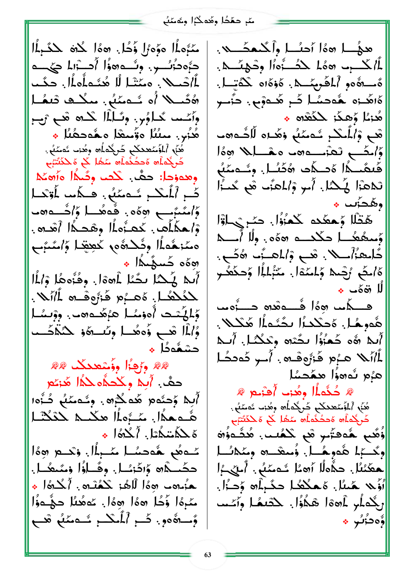مَّبُوماً وَوَوَٰلٍ وَّكُلْ. هِوَٰا كُلُوْ كَكَيْبِدًا دَوْدَتُسُــو. وِشُــدەوُّا أُهـــْٓالم كَيْـــد ـأَ/حْــــــلا . ممّثـْــا لُل هُـئــمـلَّـمـلًا . حـكَــب ھُضًىلا أَه شَـْمَمُّهُ. مىڭى قىمُـا وِأَسِّــٰ كَـاوُرٍ. وِتُـالْمَا كَــٰا هُــع رَبِّ. هُذُرٍ. مِثْلًا هَوَّمِيْهَا مَجَّەْحَقَّىًا ﴾ ِ هُنَّهُ ٱلمُتَّحَدَّكُم حُرِيْكُماُ» وِهُنَا شَمَنُّهُ.<br>حُرِيْكُماْ» هُحَدُّمْاُ» مُنْقُل كُم هُكْتُتَبِع وهدؤجا: حقَّ، ݣْحْبْ وصُّمَّا وأهمِّلا كُمْ أَلْمَكْمْ شُومَنْيُ. فَلَكْفَ لَمُوْتَسَارَ وَٱمۡتَبۡبَ وَهُوَهِ ۚ فَعۡقَصَا وَٱصۡـُـوهِ وْاهِكْلُف. كَعَذّْهِ أَا وِصْحَدًا أَمْدَه. مِمْزِهُواْ وِثْكِرْهُو كَعِنْقِا وَاسْتَرْبِ ALLE OSO أَبِيا هُكْمَا بِحُبًا لِمُعَادِ وِفُنُوهَا وَ} أَا لْمُلْكُلُّا. ەَعْرُمْ فُرْزُوڤى لَمُٱلْلًا. وْلِمُكْتَبِ أُەفِسُلَ عَبُقَتِمَا مِنْ وَقِسُلَ وُُالْمَا قَبِ وُهِ هُمَا وِيُنَسْوَٰوْ لِلْمُذَكَّبَ حششەئل ھ 22 وَإِجْزَا وِوَمْعِدْكُمْ 22 حفْ. أبِهِ وكُحِدُه كِمُا هُنِّصُو أَبِهِ وَحِثَمِهِ هَدِيدٌ و. وِشَمِيْهُمْ كُنُوا هُـههُاْ. مَـرُههُاْ هكْــه لِكَكْـَـا ەككىتىگىل أىكھا \* حُدهُم هُوجِسًا مُبْرِأًا. وَجَبَعَ هِوَا حجَّىــدَّه وَرَحَّـٰئــل. وصَّــلؤُل وَمَّــمعُــل. هُمُدهب هِهُ الْمُؤْمِنُ لَكُمُلُهُ وَلَا كُلُمُهُ ﴾ مَّرِهُ| وَّحًا هِهُ| هِهُ|. كَمِعُلًا حَقَّءَوُّا وَّـــوُّەوِ. كَــرِ ٱلْمُكْـرِ تُــومَّهُ قَبِ

هجُما هؤا أحبُما وأكْتُمحُميلا . لَمُ كَسِبِ هِءُ! حَدُبُّواْ! وِصْهِنَسِيْ. ةُ فَ وَالْمَعْرِمِينَ وَوَدًاهِ كَدْيَا لِ ەُاھُـزە ھُەھسُـل كُـرِ ھُـەۋِبى. ھزُـــو هُزْمًا وُهِكُرْ لِلْكُعْلَاهِ \* ھُم وْٱلْمَكْمِ شُمْتُمْ وَهَٰدَه لَٰاَشُـٰـٰۃ۞ت وَأَمَدًى تَعْتَمَدُهُمَا مَعْسَلِهِ هِمَّا فَعمَــٰٰہٗا ہۡصـٰہٗد ہُکَنُـا ٖ. وِخُــٰمَنّٰبُ تَدْهَا لَمُكْلَف أُسٍ وَالْمَنَّف هُمْ كَسْرًا وهُدَّس ﴾ هَٰتَلًا وَحِعَدُه كَحَزْوًا. حَبْرَ بِارْوَا وَسِعُعُكُ لَكَنْتُ 300 . وَلَا أَسْتِدْ دَّامِعْزَاْمِيلا فِي قَالِمَ أَو أَمَّامِيَّا الْمَحَمَّى فَيْ الْمَرْضَى بِيَّا ا هْ النَّحْمِ وُجْعَدْ وَالْمَدْهْ لِمَسْتَهْلِمَا وَحَكْفُسِ لُّا رَقْہَ \* فكمس ووة فُسوڤده حسنٌوس هُومِمًا. هُحكْدِرًا بِحَيْمِلًا هُكُلًا. أَبِيا هُو جُعْزُوا بِجَبْهِ وِيَحْكَبِ أَبِيا لْمُأَلَّلًا هَـبُّمْ فَنْزُوفْـهِ. أُسر كُـهِدَـٰـا عبُم نُه‰وُ همُحسُل *ه* حُذْه أل وهُن، أَهْنُوم هُ هُنَّهٖ ٱلمُتَعدكَ حَرِيْكَماُ» وهُنا شَمْنُهُ.<br>حُرِيْكَماُ» ةحكُنُماُ» مُعُل كُلِّ ةَلاَكْتَبْهِ ؤَهُّلُ هُءَفَتُنُنِ هُمْ كُلُّفُلُبٌ. هُكُنُّهُوَّةُ وِكْتِهَا هُومِهْتا. وُمعْقَدِهِ وِمَكَانُنَا هِ هَدَّمَاً . حِذْهِ لَا أَرْهَدُ شَمَعَتُ . أَسْرَحُ ا أَوَّى هَمْلًا. هَمْكَعُمْ حَدَّبِلُّهِ وَحَزَّا. رِجُدِيلُو بِأَ90\$ هَدُوَّا. كَتَنْتُمَا وَأَيِّنْتَ  $|\dot{\mathbf{r}}\rangle$ وُّەدىُنُو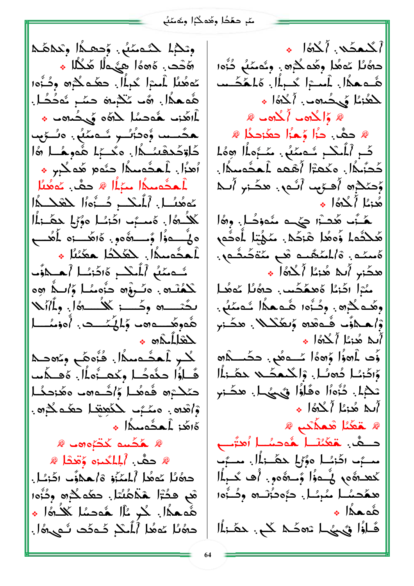وتكلم حدَّمتني. وُحصكُما وتَحكمُكُم ﴿ الْكُثُمُ الْمَرْمُ أَهْمَهُ . حَكَمُ عْدَمُنَا لَمَسْرَا كَبِئَالَ. حَقَّدَ كُثْرُهِ ۚ وَحُنُّوا هُههاً. هُـ كَثَرِّبه حمّ ِ هُحُحًا. أَآهُنِ هُءَدْمًا لَحْمَةً وَسَمَعَ مِنْهُمْ مِنْهُمْ مِنْ ھگىــىد ۋەت<sup>ا</sup>ئىــو ئــەمّلُو. ەئــۆيد كَاوْكُدْشْنَدْاً. مْكْبَرْ هُومْسَا هْ أهزًا. أهدُّه ممُّ احتَه من هُمكُرِ \* أَحْدُه مِمَالًا مِنْ اللَّهُ حَمًّا. كَمْعُلُلْ عَمِّعُــا. ٱلْمَكْــرِ حُــنُوهُ! كَعْكَــدُا لْكُـدُّا. ەْمىـرُى (دُنْـا دۇرَٰلى ھَـدَّـنْـاْ) دي ۡــوزُا وَۡـــوۡ، وَاللَّهَـــزه لَمۡصُــــز أحدُّدمهُ). لِمَكْتُل حَقَّلْنَا \* َ شَـٰہِمَٰنُیٖ ٱلۡمُـُـٰـَـٰ ِ ہَٰاتَّہۡسَٰـٰا اُ ہـَـٰہُوَّ۔ لْكُفْلُوهِ. وَنُبْوَوْهِ جَزُّومُكُمْ وَاللَّهُ هِوَ بَحْتَــــْبَهِ وَحُـــــز كَلاُنَـــْبَهْلَ. ولَمْ/أَيْلا هُومِكْــــــــە∞ب وٌلم} ُــُــــــد . أُوفِعُـــــل Lêllîko ÷ كُلِّ لْمَشْمِيمًا. فُنُوهَى وِمُوصَدْ فَـاؤُا حذُهُــٰا وِكَعــزُهلُال هَــٰكَمـٰ حَكْدَمِه فُـُمَعُـا وُٱكْـــەھــ ەھُـزحكْـا وْاهْدە . مَمْعُ حَكْمِيْقِطْ حَمَّدَهُ جَرَه . كَاثَعْ: الْمَحْدِمِيماً \* 2 ـ aَحَسه لَمَحَمُّوه 2 ه حقٍّ. أَلِمَلْكُنَّ وَقَدْهَا \* حەُبُل مُوهُل ٱلْمَمْزُو وْالْحِلَاوُبْ اخْزَسْلَ. هْمِ هِئْتْزَا هْلّْاهُنْدَا. حقَّه كُثْرُه وِئُزُّه! هُههدَا. كُر ءُٱا هُهجسًا كَلَّـٰهُا \* حەُنا مُەھُا ٱلْمُنْكُر ضُەصُّ ئُـمِيدەُا.

أئكمكد ألحاه . دەُنا غەھَا وِھَدىگرە . وِشَمَنَّە كُزُّە هُــوههُل: لمُصـــرُا حُــرِمُلْ. وَلِمَكَـــب لِهَاهُمُ أَسْمِعَهُمْ مِنْ الْمُكْمَّدُ کا کی الگه کی است کا کام کی کام کا کام کام کام کرد کرد کرد کرد کرد کرد کرد کرد کر کردی کے لیے کہ کام کردی کے ل & حقٍّ. جزًّا وَجِدْرًا حقَّدَحَدًا & كَـرِ ٱلْمُكْـرِ شَـْمَعْنُو. مَنْـرُّه أَلَّا هِهُـُـا دُحَبُدًا. مكعَبَّا أَهْمِه لْمَحْمِيدًا. وَحَكِمُ ۞ أُهْجَهِ أَنَّبَى. هِخَـٰ; أَنــِهِ هُذِيمٌ أَيْحُدُّ \* هَـٰٓزَٰٮ هَٰدےٓا کے؎ مُنۡوَفَـٰلَ وِهَٰا هَٰٓدُدُه ٰ ذُوهُا هُرْحُمْ. مَكهُٰٓيَا لِمُوَجُمِ هُممُهِ . وَالْمُمَعُّمِهِ هُم مُتَوَصَّفُهِ. هجّنب أبيه هُنءُا أَكْدَهُ! \* مْبْلَ ادّْنْدُ هُمْهُمْس. دەْنُا غەمْدا وهُدهكُرْ» . وضُزُّه: هُدههُ! شَهِنْهُ. وْاْھْكْوُْبْ قْتْ19ْ8 وْيْݣْكْلْلّْ. ھْشْتَرْبْو أبيه هُزِمًا أَيْحُدُّا \* وَّد لُمُوَّا وَمَوْا سُدِهُمْ. حَضَّــدُهِ وَادَّنْـَا دُهنُـا. وْالْمُـعنَــٰـلا حَمَّـٰٓنَاْ تَكْبُلُ. دُّوْهُ أَ هَ فَلَوْ الصَّيْحِيلُ. هَجَنَو أبيه هُزِمًا أَكْدَهُ! \* ه مقعًنا شمكَّنب ه حَــِـقَّ . حَكَنْنَــا حُودسُــا أُهتُوب مسبَّد ادَٰنِـٰا ہوۡکِل حصَّـٰۂاٰل مسبَّد كَعِدِدُهُ فِي أَحْدَثُمْ الْإِسْتَرْهُ وَمِنْ أَحِدٍ كُلُّوبِهُ ا همُحِسُلِ مُبِسًلٍ. حَزْهِ دَاسُـ هِ وَحُــزُهِ! Araó قَاؤُا فَيُحِيَّا ءَٯَحَـٰهَ كَـٰمٍ. حَصَّۃِلُه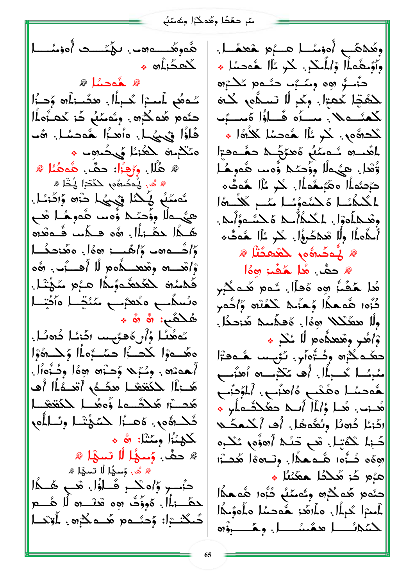هُەوِهُــــە۞، لِمُّمُـــد أُەوْمُــــا  $\bullet$   $\bullet$   $\bullet$   $\bullet$   $\bullet$   $\bullet$ 2 Lisca 2 عُـٰدِهُم ـ أَمـٰـٓٓٓٓٓٓٓٓ الله كَـٰبِـٱلْلهِ ۚ وَكُـٰٓ أَلْمَتَ وَكُـٰٓا حَثَمَمَ هُمكُرُهَ. وِثَمَنَّهُ خَزَّ كَعَـزُه أَا قَاؤُا فِيُحِيُّطَ. وأهدُّا هُوجِسُطَ. رَهُ ەتتەمە كەنئا ئىكسەت ئ @ هُلَا. ورُحِزُا: حقَّ. هُوهُمُا @ \* قُ . فُ حَكْمَ مِهْمَهِ مِنْ الْمُخْلِ \* .لَانِكَ وَآهَا وَيُحِيرُهُ لِمُكْلِمٍ وَلَمَنْكُمْ هيُحملُّا وِؤُحِيَّـٰهُ وْهِيبَ هُومِعًا هُجِ هَــدًا حصَّـ;اًا. ۞ هــدَ مد هُــده وۡۡاُدَّـــــــــوِّ وَٱرۡقَــــــز وہوَٰا ٖ. وَهَٰـزَدِكَـــا وْاهْــــه وهْعبْـــدُّهِ مْ لَا أُهْـــزُب هُه كَهْمُهُ ۖ لِكَعْمُومُ لَهُ ۖ وَ لَمَّ وَلَيْهِ ۖ لَهُ يَبْلُونَ ۖ لَهُ يَبْلُو ەئىندَىپ ەكعبَىب مىلتىل ەَكْتىل  $\bigtriangleup\hspace{-0.2em}\bigtriangleup\hspace{-0.2em}\bigtriangleup\hspace{-0.2em}\bigtriangleup\hspace{-0.2em}\bigtriangleup\hspace{-0.2em}\bigtriangleup\hspace{-0.2em}\bigtriangleup\hspace{-0.2em}\bigtriangleup\hspace{-0.2em}\bigtriangleup\hspace{-0.2em}\bigtriangleup\hspace{-0.2em}\bigtriangleup\hspace{-0.2em}\bigtriangleup\hspace{-0.2em}\bigtriangleup\hspace{-0.2em}\bigtriangleup\hspace{-0.2em}\bigtriangleup\hspace{-0.2em}\bigtriangleup\hspace{-0.2em}\bigtriangleup\hspace{-0.2em}\bigtriangleup\hspace{-0.2em}\bigtriangleup$ ِ مُعمَّلًا وُٱرِهُفوُمِسَ آثَنَنُا ثُـ2ثَا. وهُــوْا كُحــزًا حِمْــرُومًا وَكَــرُوْا أهدتهن وشرحه وحثره هوه وكثوار هَٰــ;ِلَمَا لِكَفَعْقِــا هكَــهُ أَمْـــهُـاًا أُف هُدــْ;، هُـدْـُــما وُههُٰــا لِحَكْفَهْــا ثُكْـرةُهر. هُعــزُا كَمَّهْتْـا وِتُـالْمُو لكهنُزا ومَثَنَا: ﴿ ۞ & حقٌّ. وُسَهُّا لَّا تَسَهَّا *&* ه منَّى. وَسَهْا لَا تَسَهْا هَ دَّسِرِ وَادْ كَبِ قَبَاؤُلَ هُبِ هَيْدًا هصَّــزِمُمْلَ. هُوفُتْ وهو هُـْــــره لَّا هُــــــــــو كَىكْتَــْمِ : وَحَــْـــەم هَــــەكْرَە . لِمَوْتَـــا وهُدَهُـــــ أُوفِسُــا عَـــرُم هَعْمُــا. وِأَوْحِقُومُاْ وَٱلْمُكْرِ. كُنْ عَلَّا هُوَجِسًا \* دَّنْبُو وهِ وَمَنْكُب حَنْبَهِ كَلَّتِهِ لْمُغَةِ لَا كُمَّةٍ , وَكَرِ لَا تَسَكُّمَ ۚ كُلُّهَ كَمَنَّــه ملا بَّا مـــــــرّه اللّه عنْـــــرّها اللّه مـــــرّهـــــرّهـــــر لْمُحَدُّهُ فِي اللَّهُ عَاهَ صَفَاء مَلَا مُعَاهَدًا ﴾ لمُعْسِدِ شَمِيْهُ هُمْرَجُلا حَقَّـهِ هَـْ وُّهْا عِيْجِهْلًا وِوَكِيْكَ وُّومب هُومِمُا دَمْ عَلَيْهِ وَالْمُحَمَّدُ الْمَسْتَمَارِ مِنْ الْمُؤْمَنَ وَالْمُؤْمَنَ مِنْ الْمُؤْمَنَ وَالْمُ لمَكْمُنْهَا هَ حَشَوْنُهَا مَيْسِ كَلَّكُوا وقْحِمْلُووْلْ. لْمُحْجَمَّاتُكُمْ وَحَمْدُووُأَنْكُمْ. أَمذُه أَا وِلًا هَدَكَووًا. كُبِ ءُاَا هُدَتْ \* @ délaite de la **َ \* حَتَّ. هُلْ هُفُنز 30** هُا هَفَنُّ وه هَاْل نُـه هُ هَميهُ بِر ثُنُوا هُوهِكُمْ وَهِنَيْكَ كَهُلُو وَٱخْوِرِ ولًا معكَّلًا وَوَا. وَهِكْسِمْ مُزْحِدًا. وْاهُو وقْعِدْهُ٥م لَا يُكْرِ \* حَفَّــه كُثْرُه وَحُـتُّوأَمْرٍ. تَوُّبِــما هُــهِـوْتَزَا مُبِئَا كَبِيلًا. أَفَ كَتَبَسِهِ أَهْنَب هُوصُلِ وهُنْبٍ وُاهِنَّبٍ. ٱلمَوِّضَ هُدنب. هُما وُآٰ أَمْلَ أَصَلَ حَعَلَاتُدملُو \* ادًامُ لَا دُوبُرُ وبُعْدِهُا. أُفْ أَكْتَمَكُنَّهُ كَـزِا كَـهْتِـا. هُـم تَىـُـمْ أُهوُّه، عُكْـرِه اهِهُهِ حُـزُهِ! هُـمِـهِكُما بِ وِتْـهِهَا هَٰلِهِ مَ مرُم جَز هَكْدًا هِهَيْنًا ﴾ حَثَم وَهُدَاهُ وَشَمَعُهُ كُنُوا هُدَهَا لْمُعْزَلَ كَبِيلًا. وَلَاهُدْ هُوَجِينًا وَلَمُوَجَدًا للسَّلابُ اللَّهُ اللَّهُ اللَّهُ اللَّهُ وَاللَّهُ اللَّهُ وَالَّهُ الَّذِينَ وَالَّهُ وَالَّهُ وَ